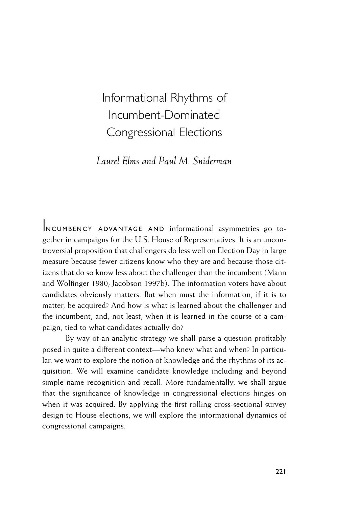Informational Rhythms of Incumbent-Dominated Congressional Elections

*Laurel Elms and Paul M. Sniderman*

INCUMBENCY ADVANTAGE AND informational asymmetries go together in campaigns for the U.S. House of Representatives. It is an uncontroversial proposition that challengers do less well on Election Day in large measure because fewer citizens know who they are and because those citizens that do so know less about the challenger than the incumbent (Mann and Wolfinger 1980; Jacobson 1997b). The information voters have about candidates obviously matters. But when must the information, if it is to matter, be acquired? And how is what is learned about the challenger and the incumbent, and, not least, when it is learned in the course of a campaign, tied to what candidates actually do?

By way of an analytic strategy we shall parse a question profitably posed in quite a different context—who knew what and when? In particular, we want to explore the notion of knowledge and the rhythms of its acquisition. We will examine candidate knowledge including and beyond simple name recognition and recall. More fundamentally, we shall argue that the significance of knowledge in congressional elections hinges on when it was acquired. By applying the first rolling cross-sectional survey design to House elections, we will explore the informational dynamics of congressional campaigns.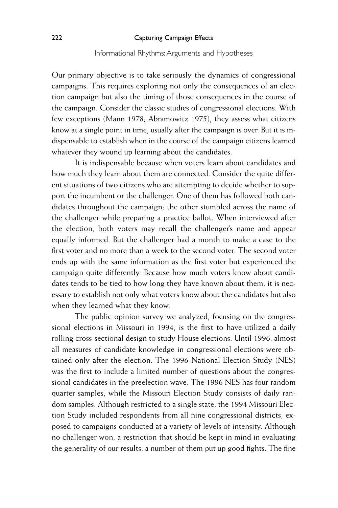## Informational Rhythms: Arguments and Hypotheses

Our primary objective is to take seriously the dynamics of congressional campaigns. This requires exploring not only the consequences of an election campaign but also the timing of those consequences in the course of the campaign. Consider the classic studies of congressional elections. With few exceptions (Mann 1978; Abramowitz 1975), they assess what citizens know at a single point in time, usually after the campaign is over. But it is indispensable to establish when in the course of the campaign citizens learned whatever they wound up learning about the candidates.

It is indispensable because when voters learn about candidates and how much they learn about them are connected. Consider the quite different situations of two citizens who are attempting to decide whether to support the incumbent or the challenger. One of them has followed both candidates throughout the campaign; the other stumbled across the name of the challenger while preparing a practice ballot. When interviewed after the election, both voters may recall the challenger's name and appear equally informed. But the challenger had a month to make a case to the first voter and no more than a week to the second voter. The second voter ends up with the same information as the first voter but experienced the campaign quite differently. Because how much voters know about candidates tends to be tied to how long they have known about them, it is necessary to establish not only what voters know about the candidates but also when they learned what they know.

The public opinion survey we analyzed, focusing on the congressional elections in Missouri in 1994, is the first to have utilized a daily rolling cross-sectional design to study House elections. Until 1996, almost all measures of candidate knowledge in congressional elections were obtained only after the election. The 1996 National Election Study (NES) was the first to include a limited number of questions about the congressional candidates in the preelection wave. The 1996 NES has four random quarter samples, while the Missouri Election Study consists of daily random samples. Although restricted to a single state, the 1994 Missouri Election Study included respondents from all nine congressional districts, exposed to campaigns conducted at a variety of levels of intensity. Although no challenger won, a restriction that should be kept in mind in evaluating the generality of our results, a number of them put up good fights. The fine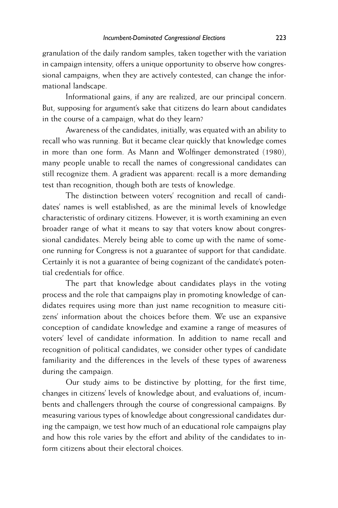granulation of the daily random samples, taken together with the variation in campaign intensity, offers a unique opportunity to observe how congressional campaigns, when they are actively contested, can change the informational landscape.

Informational gains, if any are realized, are our principal concern. But, supposing for argument's sake that citizens do learn about candidates in the course of a campaign, what do they learn?

Awareness of the candidates, initially, was equated with an ability to recall who was running. But it became clear quickly that knowledge comes in more than one form. As Mann and Wolfinger demonstrated (1980), many people unable to recall the names of congressional candidates can still recognize them. A gradient was apparent: recall is a more demanding test than recognition, though both are tests of knowledge.

The distinction between voters' recognition and recall of candidates' names is well established, as are the minimal levels of knowledge characteristic of ordinary citizens. However, it is worth examining an even broader range of what it means to say that voters know about congressional candidates. Merely being able to come up with the name of someone running for Congress is not a guarantee of support for that candidate. Certainly it is not a guarantee of being cognizant of the candidate's potential credentials for office

The part that knowledge about candidates plays in the voting process and the role that campaigns play in promoting knowledge of candidates requires using more than just name recognition to measure citizens' information about the choices before them. We use an expansive conception of candidate knowledge and examine a range of measures of voters' level of candidate information. In addition to name recall and recognition of political candidates, we consider other types of candidate familiarity and the differences in the levels of these types of awareness during the campaign.

Our study aims to be distinctive by plotting, for the first time, changes in citizens' levels of knowledge about, and evaluations of, incumbents and challengers through the course of congressional campaigns. By measuring various types of knowledge about congressional candidates during the campaign, we test how much of an educational role campaigns play and how this role varies by the effort and ability of the candidates to inform citizens about their electoral choices.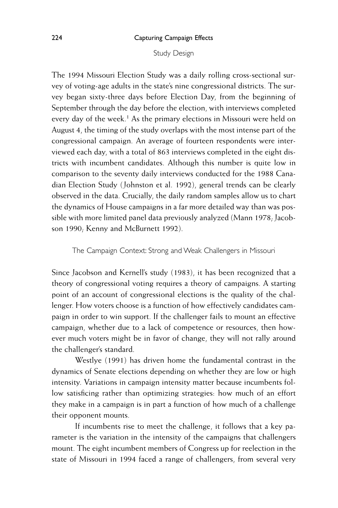Study Design

The 1994 Missouri Election Study was a daily rolling cross-sectional survey of voting-age adults in the state's nine congressional districts. The survey began sixty-three days before Election Day, from the beginning of September through the day before the election, with interviews completed every day of the week.<sup>1</sup> As the primary elections in Missouri were held on August 4, the timing of the study overlaps with the most intense part of the congressional campaign. An average of fourteen respondents were interviewed each day, with a total of 863 interviews completed in the eight districts with incumbent candidates. Although this number is quite low in comparison to the seventy daily interviews conducted for the 1988 Canadian Election Study (Johnston et al. 1992), general trends can be clearly observed in the data. Crucially, the daily random samples allow us to chart the dynamics of House campaigns in a far more detailed way than was possible with more limited panel data previously analyzed (Mann 1978; Jacobson 1990; Kenny and McBurnett 1992).

The Campaign Context: Strong and Weak Challengers in Missouri

Since Jacobson and Kernell's study (1983), it has been recognized that a theory of congressional voting requires a theory of campaigns. A starting point of an account of congressional elections is the quality of the challenger. How voters choose is a function of how effectively candidates campaign in order to win support. If the challenger fails to mount an effective campaign, whether due to a lack of competence or resources, then however much voters might be in favor of change, they will not rally around the challenger's standard.

Westlye (1991) has driven home the fundamental contrast in the dynamics of Senate elections depending on whether they are low or high intensity. Variations in campaign intensity matter because incumbents follow satisficing rather than optimizing strategies: how much of an effort they make in a campaign is in part a function of how much of a challenge their opponent mounts.

If incumbents rise to meet the challenge, it follows that a key parameter is the variation in the intensity of the campaigns that challengers mount. The eight incumbent members of Congress up for reelection in the state of Missouri in 1994 faced a range of challengers, from several very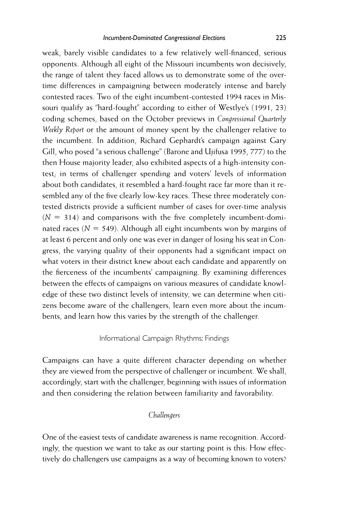weak, barely visible candidates to a few relatively well-financed, serious opponents. Although all eight of the Missouri incumbents won decisively, the range of talent they faced allows us to demonstrate some of the overtime differences in campaigning between moderately intense and barely contested races. Two of the eight incumbent-contested 1994 races in Missouri qualify as "hard-fought" according to either of Westlye's (1991, 23) coding schemes, based on the October previews in *Congressional Quarterly Weekly Report* or the amount of money spent by the challenger relative to the incumbent. In addition, Richard Gephardt's campaign against Gary Gill, who posed "a serious challenge" (Barone and Ujifusa 1995, 777) to the then House majority leader, also exhibited aspects of a high-intensity contest; in terms of challenger spending and voters' levels of information about both candidates, it resembled a hard-fought race far more than it resembled any of the five clearly low-key races. These three moderately contested districts provide a sufficient number of cases for over-time analysis  $(N = 314)$  and comparisons with the five completely incumbent-dominated races  $(N = 549)$ . Although all eight incumbents won by margins of at least 6 percent and only one was ever in danger of losing his seat in Congress, the varying quality of their opponents had a significant impact on what voters in their district knew about each candidate and apparently on the fierceness of the incumbents' campaigning. By examining differences between the effects of campaigns on various measures of candidate knowledge of these two distinct levels of intensity, we can determine when citizens become aware of the challengers, learn even more about the incumbents, and learn how this varies by the strength of the challenger.

#### Informational Campaign Rhythms: Findings

Campaigns can have a quite different character depending on whether they are viewed from the perspective of challenger or incumbent. We shall, accordingly, start with the challenger, beginning with issues of information and then considering the relation between familiarity and favorability.

### *Challengers*

One of the easiest tests of candidate awareness is name recognition. Accordingly, the question we want to take as our starting point is this: How effectively do challengers use campaigns as a way of becoming known to voters?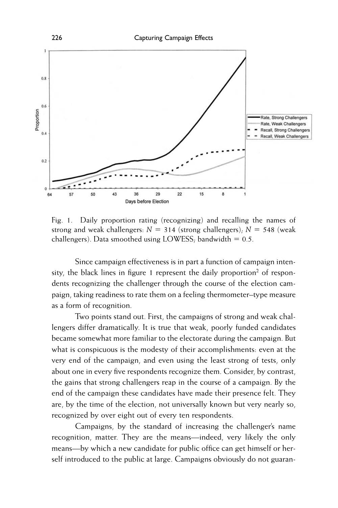

Fig. 1. Daily proportion rating (recognizing) and recalling the names of strong and weak challengers:  $N = 314$  (strong challengers);  $N = 548$  (weak challengers). Data smoothed using  $LOWESS$ ; bandwidth = 0.5.

Since campaign effectiveness is in part a function of campaign intensity, the black lines in figure 1 represent the daily proportion<sup>2</sup> of respondents recognizing the challenger through the course of the election campaign, taking readiness to rate them on a feeling thermometer–type measure as a form of recognition.

Two points stand out. First, the campaigns of strong and weak challengers differ dramatically. It is true that weak, poorly funded candidates became somewhat more familiar to the electorate during the campaign. But what is conspicuous is the modesty of their accomplishments: even at the very end of the campaign, and even using the least strong of tests, only about one in every five respondents recognize them. Consider, by contrast, the gains that strong challengers reap in the course of a campaign. By the end of the campaign these candidates have made their presence felt. They are, by the time of the election, not universally known but very nearly so, recognized by over eight out of every ten respondents.

Campaigns, by the standard of increasing the challenger's name recognition, matter. They are the means—indeed, very likely the only means—by which a new candidate for public office can get himself or herself introduced to the public at large. Campaigns obviously do not guaran-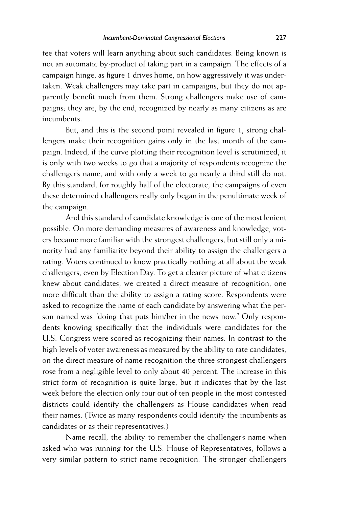tee that voters will learn anything about such candidates. Being known is not an automatic by-product of taking part in a campaign. The effects of a campaign hinge, as figure 1 drives home, on how aggressively it was undertaken. Weak challengers may take part in campaigns, but they do not apparently benefit much from them. Strong challengers make use of campaigns; they are, by the end, recognized by nearly as many citizens as are incumbents.

But, and this is the second point revealed in figure 1, strong challengers make their recognition gains only in the last month of the campaign. Indeed, if the curve plotting their recognition level is scrutinized, it is only with two weeks to go that a majority of respondents recognize the challenger's name, and with only a week to go nearly a third still do not. By this standard, for roughly half of the electorate, the campaigns of even these determined challengers really only began in the penultimate week of the campaign.

And this standard of candidate knowledge is one of the most lenient possible. On more demanding measures of awareness and knowledge, voters became more familiar with the strongest challengers, but still only a minority had any familiarity beyond their ability to assign the challengers a rating. Voters continued to know practically nothing at all about the weak challengers, even by Election Day. To get a clearer picture of what citizens knew about candidates, we created a direct measure of recognition, one more difficult than the ability to assign a rating score. Respondents were asked to recognize the name of each candidate by answering what the person named was "doing that puts him/her in the news now." Only respondents knowing specifically that the individuals were candidates for the U.S. Congress were scored as recognizing their names. In contrast to the high levels of voter awareness as measured by the ability to rate candidates, on the direct measure of name recognition the three strongest challengers rose from a negligible level to only about 40 percent. The increase in this strict form of recognition is quite large, but it indicates that by the last week before the election only four out of ten people in the most contested districts could identify the challengers as House candidates when read their names. (Twice as many respondents could identify the incumbents as candidates or as their representatives.)

Name recall, the ability to remember the challenger's name when asked who was running for the U.S. House of Representatives, follows a very similar pattern to strict name recognition. The stronger challengers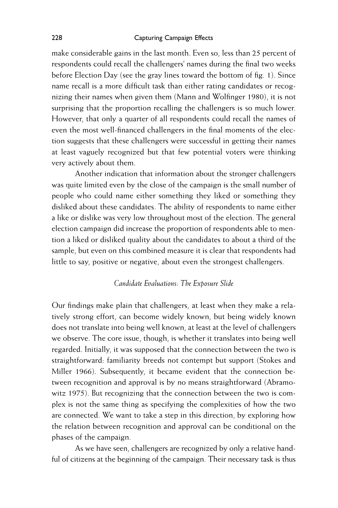make considerable gains in the last month. Even so, less than 25 percent of respondents could recall the challengers' names during the final two weeks before Election Day (see the gray lines toward the bottom of  $fig. 1$ ). Since name recall is a more difficult task than either rating candidates or recognizing their names when given them (Mann and Wolfinger 1980), it is not surprising that the proportion recalling the challengers is so much lower. However, that only a quarter of all respondents could recall the names of even the most well-financed challengers in the final moments of the election suggests that these challengers were successful in getting their names at least vaguely recognized but that few potential voters were thinking very actively about them.

Another indication that information about the stronger challengers was quite limited even by the close of the campaign is the small number of people who could name either something they liked or something they disliked about these candidates. The ability of respondents to name either a like or dislike was very low throughout most of the election. The general election campaign did increase the proportion of respondents able to mention a liked or disliked quality about the candidates to about a third of the sample, but even on this combined measure it is clear that respondents had little to say, positive or negative, about even the strongest challengers.

# *Candidate Evaluations: The Exposure Slide*

Our findings make plain that challengers, at least when they make a relatively strong effort, can become widely known, but being widely known does not translate into being well known, at least at the level of challengers we observe. The core issue, though, is whether it translates into being well regarded. Initially, it was supposed that the connection between the two is straightforward: familiarity breeds not contempt but support (Stokes and Miller 1966). Subsequently, it became evident that the connection between recognition and approval is by no means straightforward (Abramowitz 1975). But recognizing that the connection between the two is complex is not the same thing as specifying the complexities of how the two are connected. We want to take a step in this direction, by exploring how the relation between recognition and approval can be conditional on the phases of the campaign.

As we have seen, challengers are recognized by only a relative handful of citizens at the beginning of the campaign. Their necessary task is thus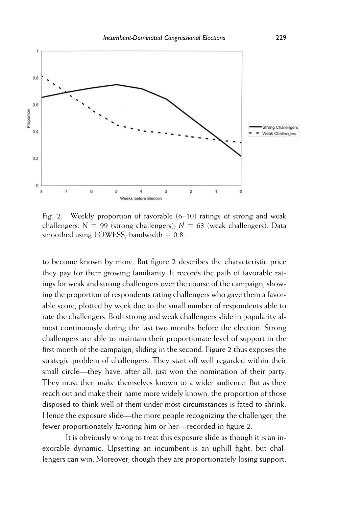

Fig. 2. Weekly proportion of favorable (6–10) ratings of strong and weak challengers:  $N = 99$  (strong challengers);  $N = 63$  (weak challengers). Data smoothed using  $LOWESS$ ; bandwidth = 0.8.

to become known by more. But figure 2 describes the characteristic price they pay for their growing familiarity. It records the path of favorable ratings for weak and strong challengers over the course of the campaign, showing the proportion of respondents rating challengers who gave them a favorable score, plotted by week due to the small number of respondents able to rate the challengers. Both strong and weak challengers slide in popularity almost continuously during the last two months before the election. Strong challengers are able to maintain their proportionate level of support in the first month of the campaign, sliding in the second. Figure 2 thus exposes the strategic problem of challengers. They start off well regarded within their small circle—they have, after all, just won the nomination of their party. They must then make themselves known to a wider audience. But as they reach out and make their name more widely known, the proportion of those disposed to think well of them under most circumstances is fated to shrink. Hence the exposure slide—the more people recognizing the challenger, the fewer proportionately favoring him or her—recorded in figure 2.

It is obviously wrong to treat this exposure slide as though it is an inexorable dynamic. Upsetting an incumbent is an uphill fight, but challengers can win. Moreover, though they are proportionately losing support,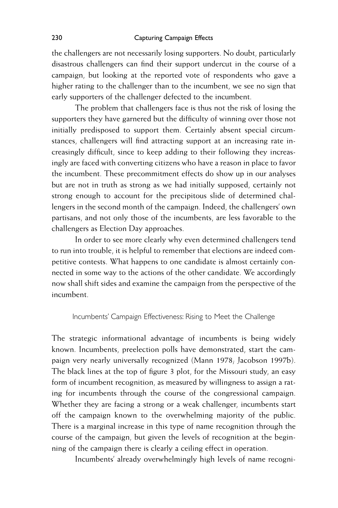the challengers are not necessarily losing supporters. No doubt, particularly disastrous challengers can find their support undercut in the course of a campaign, but looking at the reported vote of respondents who gave a higher rating to the challenger than to the incumbent, we see no sign that early supporters of the challenger defected to the incumbent.

The problem that challengers face is thus not the risk of losing the supporters they have garnered but the difficulty of winning over those not initially predisposed to support them. Certainly absent special circumstances, challengers will find attracting support at an increasing rate increasingly difficult, since to keep adding to their following they increasingly are faced with converting citizens who have a reason in place to favor the incumbent. These precommitment effects do show up in our analyses but are not in truth as strong as we had initially supposed, certainly not strong enough to account for the precipitous slide of determined challengers in the second month of the campaign. Indeed, the challengers' own partisans, and not only those of the incumbents, are less favorable to the challengers as Election Day approaches.

In order to see more clearly why even determined challengers tend to run into trouble, it is helpful to remember that elections are indeed competitive contests. What happens to one candidate is almost certainly connected in some way to the actions of the other candidate. We accordingly now shall shift sides and examine the campaign from the perspective of the incumbent.

## Incumbents' Campaign Effectiveness: Rising to Meet the Challenge

The strategic informational advantage of incumbents is being widely known. Incumbents, preelection polls have demonstrated, start the campaign very nearly universally recognized (Mann 1978; Jacobson 1997b). The black lines at the top of figure 3 plot, for the Missouri study, an easy form of incumbent recognition, as measured by willingness to assign a rating for incumbents through the course of the congressional campaign. Whether they are facing a strong or a weak challenger, incumbents start off the campaign known to the overwhelming majority of the public. There is a marginal increase in this type of name recognition through the course of the campaign, but given the levels of recognition at the beginning of the campaign there is clearly a ceiling effect in operation.

Incumbents' already overwhelmingly high levels of name recogni-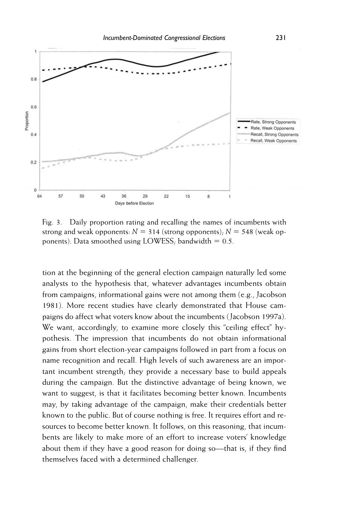

Fig. 3. Daily proportion rating and recalling the names of incumbents with strong and weak opponents:  $N = 314$  (strong opponents);  $N = 548$  (weak opponents). Data smoothed using  $LOWESS$ ; bandwidth = 0.5.

tion at the beginning of the general election campaign naturally led some analysts to the hypothesis that, whatever advantages incumbents obtain from campaigns, informational gains were not among them (e.g., Jacobson 1981). More recent studies have clearly demonstrated that House campaigns do affect what voters know about the incumbents (Jacobson 1997a). We want, accordingly, to examine more closely this "ceiling effect" hypothesis. The impression that incumbents do not obtain informational gains from short election-year campaigns followed in part from a focus on name recognition and recall. High levels of such awareness are an important incumbent strength; they provide a necessary base to build appeals during the campaign. But the distinctive advantage of being known, we want to suggest, is that it facilitates becoming better known. Incumbents may, by taking advantage of the campaign, make their credentials better known to the public. But of course nothing is free. It requires effort and resources to become better known. It follows, on this reasoning, that incumbents are likely to make more of an effort to increase voters' knowledge about them if they have a good reason for doing so—that is, if they find themselves faced with a determined challenger.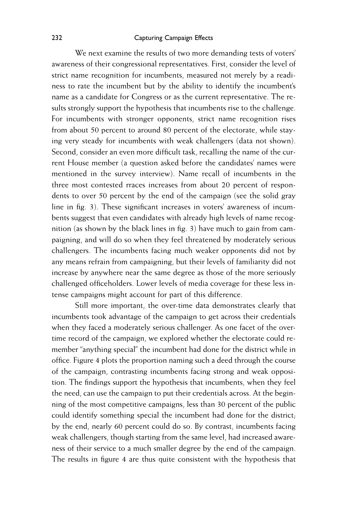We next examine the results of two more demanding tests of voters' awareness of their congressional representatives. First, consider the level of strict name recognition for incumbents, measured not merely by a readiness to rate the incumbent but by the ability to identify the incumbent's name as a candidate for Congress or as the current representative. The results strongly support the hypothesis that incumbents rise to the challenge. For incumbents with stronger opponents, strict name recognition rises from about 50 percent to around 80 percent of the electorate, while staying very steady for incumbents with weak challengers (data not shown). Second, consider an even more difficult task, recalling the name of the current House member (a question asked before the candidates' names were mentioned in the survey interview). Name recall of incumbents in the three most contested rraces increases from about 20 percent of respondents to over 50 percent by the end of the campaign (see the solid gray line in fig. 3). These significant increases in voters' awareness of incumbents suggest that even candidates with already high levels of name recognition (as shown by the black lines in fig. 3) have much to gain from campaigning, and will do so when they feel threatened by moderately serious challengers. The incumbents facing much weaker opponents did not by any means refrain from campaigning, but their levels of familiarity did not increase by anywhere near the same degree as those of the more seriously challenged officeholders. Lower levels of media coverage for these less intense campaigns might account for part of this difference.

Still more important, the over-time data demonstrates clearly that incumbents took advantage of the campaign to get across their credentials when they faced a moderately serious challenger. As one facet of the overtime record of the campaign, we explored whether the electorate could remember "anything special" the incumbent had done for the district while in office. Figure 4 plots the proportion naming such a deed through the course of the campaign, contrasting incumbents facing strong and weak opposition. The findings support the hypothesis that incumbents, when they feel the need, can use the campaign to put their credentials across. At the beginning of the most competitive campaigns, less than 30 percent of the public could identify something special the incumbent had done for the district; by the end, nearly 60 percent could do so. By contrast, incumbents facing weak challengers, though starting from the same level, had increased awareness of their service to a much smaller degree by the end of the campaign. The results in figure 4 are thus quite consistent with the hypothesis that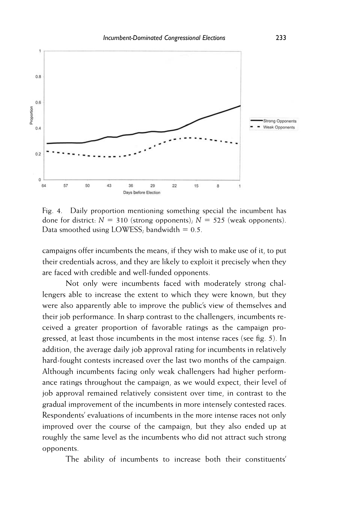

Fig. 4. Daily proportion mentioning something special the incumbent has done for district:  $N = 310$  (strong opponents);  $N = 525$  (weak opponents). Data smoothed using  $\text{LOWESS}_i$  bandwidth = 0.5.

campaigns offer incumbents the means, if they wish to make use of it, to put their credentials across, and they are likely to exploit it precisely when they are faced with credible and well-funded opponents.

Not only were incumbents faced with moderately strong challengers able to increase the extent to which they were known, but they were also apparently able to improve the public's view of themselves and their job performance. In sharp contrast to the challengers, incumbents received a greater proportion of favorable ratings as the campaign progressed, at least those incumbents in the most intense races (see fig. 5). In addition, the average daily job approval rating for incumbents in relatively hard-fought contests increased over the last two months of the campaign. Although incumbents facing only weak challengers had higher performance ratings throughout the campaign, as we would expect, their level of job approval remained relatively consistent over time, in contrast to the gradual improvement of the incumbents in more intensely contested races. Respondents' evaluations of incumbents in the more intense races not only improved over the course of the campaign, but they also ended up at roughly the same level as the incumbents who did not attract such strong opponents.

The ability of incumbents to increase both their constituents'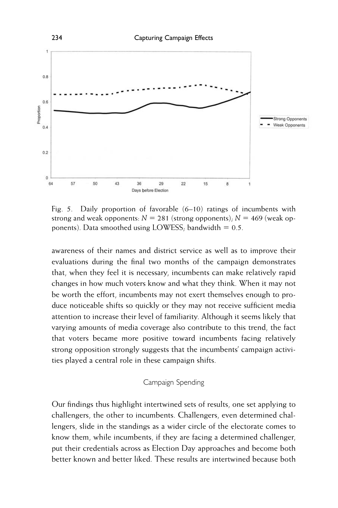

Fig. 5. Daily proportion of favorable (6–10) ratings of incumbents with strong and weak opponents:  $N = 281$  (strong opponents);  $N = 469$  (weak opponents). Data smoothed using  $LOWESS$ ; bandwidth = 0.5.

awareness of their names and district service as well as to improve their evaluations during the final two months of the campaign demonstrates that, when they feel it is necessary, incumbents can make relatively rapid changes in how much voters know and what they think. When it may not be worth the effort, incumbents may not exert themselves enough to produce noticeable shifts so quickly or they may not receive sufficient media attention to increase their level of familiarity. Although it seems likely that varying amounts of media coverage also contribute to this trend, the fact that voters became more positive toward incumbents facing relatively strong opposition strongly suggests that the incumbents' campaign activities played a central role in these campaign shifts.

## Campaign Spending

Our findings thus highlight intertwined sets of results, one set applying to challengers, the other to incumbents. Challengers, even determined challengers, slide in the standings as a wider circle of the electorate comes to know them, while incumbents, if they are facing a determined challenger, put their credentials across as Election Day approaches and become both better known and better liked. These results are intertwined because both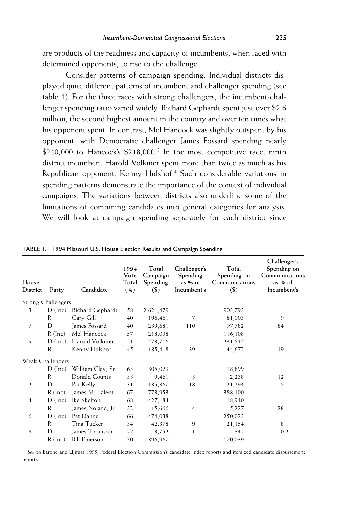are products of the readiness and capacity of incumbents, when faced with determined opponents, to rise to the challenge.

Consider patterns of campaign spending. Individual districts displayed quite different patterns of incumbent and challenger spending (see table 1). For the three races with strong challengers, the incumbent-challenger spending ratio varied widely. Richard Gephardt spent just over \$2.6 million, the second highest amount in the country and over ten times what his opponent spent. In contrast, Mel Hancock was slightly outspent by his opponent, with Democratic challenger James Fossard spending nearly \$240,000 to Hancock's \$218,000.<sup>3</sup> In the most competitive race, ninth district incumbent Harold Volkmer spent more than twice as much as his Republican opponent, Kenny Hulshof.<sup>4</sup> Such considerable variations in spending patterns demonstrate the importance of the context of individual campaigns. The variations between districts also underline some of the limitations of combining candidates into general categories for analysis. We will look at campaign spending separately for each district since

| House<br>District | Party                     | Candidate           | 1994<br>Vote<br>Total<br>$(9)_{0}$ | Total<br>Campaign<br>Spending<br>$($ \$) | Challenger's<br>Spending<br>as % of<br>Incumbent's | Total<br>Spending on<br>Communications<br>$($ \$) | Challenger's<br>Spending on<br>Communications<br>as % of<br>Incumbent's |
|-------------------|---------------------------|---------------------|------------------------------------|------------------------------------------|----------------------------------------------------|---------------------------------------------------|-------------------------------------------------------------------------|
|                   | <b>Strong Challengers</b> |                     |                                    |                                          |                                                    |                                                   |                                                                         |
| 3                 | $D$ (Inc)                 | Richard Gephardt    | 58                                 | 2,621,479                                |                                                    | 903,793                                           |                                                                         |
|                   | R                         | Gary Gill           | 40                                 | 196,461                                  | $\overline{7}$                                     | 81,003                                            | 9                                                                       |
| 7                 | D                         | James Fossard       | 40                                 | 239,681                                  | 110                                                | 97,782                                            | 84                                                                      |
|                   | $R$ (Inc)                 | Mel Hancock         | 57                                 | 218,098                                  |                                                    | 116,108                                           |                                                                         |
| 9                 | $D$ (Inc)                 | Harold Volkmer      | 51                                 | 473,716                                  |                                                    | 231,515                                           |                                                                         |
|                   | R                         | Kenny Hulshof       | 45                                 | 185,418                                  | 39                                                 | 44,672                                            | 19                                                                      |
|                   | Weak Challengers          |                     |                                    |                                          |                                                    |                                                   |                                                                         |
| 1                 | $D$ (Inc)                 | William Clay, Sr.   | 63                                 | 305,029                                  |                                                    | 18,899                                            |                                                                         |
|                   | R                         | Donald Counts       | 33                                 | 9,461                                    | 3                                                  | 2,238                                             | 12                                                                      |
| $\overline{2}$    | D                         | Pat Kelly           | 31                                 | 135,867                                  | 18                                                 | 21,294                                            | 5                                                                       |
|                   | $R$ (Inc)                 | James M. Talent     | 67                                 | 773,953                                  |                                                    | 388,100                                           |                                                                         |
| $\overline{4}$    | $D$ (Inc)                 | Ike Skelton         | 68                                 | 427,184                                  |                                                    | 18,910                                            |                                                                         |
|                   | R                         | James Noland, Jr.   | 32                                 | 15,666                                   | $\overline{4}$                                     | 5,227                                             | 28                                                                      |
| 6                 | $D$ (Inc)                 | Pat Danner          | 66                                 | 474,038                                  |                                                    | 250,023                                           |                                                                         |
|                   | R                         | Tina Tucker         | 34                                 | 42,378                                   | 9                                                  | 21,154                                            | 8                                                                       |
| 8                 | D                         | James Thomson       | 27                                 | 3,752                                    | 1                                                  | 342                                               | 0.2                                                                     |
|                   | $R$ (Inc)                 | <b>Bill Emerson</b> | 70                                 | 396,967                                  |                                                    | 170,039                                           |                                                                         |

TABLE 1. 1994 Missouri U.S. House Election Results and Campaign Spending

*Source:* Barone and Ujifusa 1995; Federal Election Commission's candidate index reports and itemized candidate disbursement reports.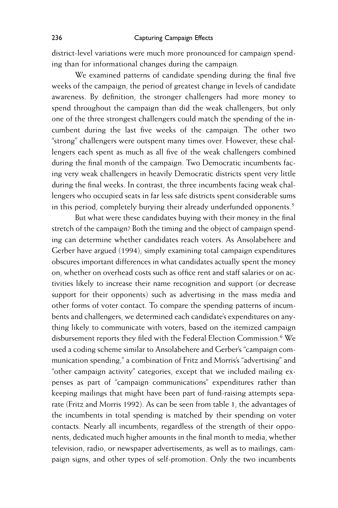district-level variations were much more pronounced for campaign spending than for informational changes during the campaign.

We examined patterns of candidate spending during the final five weeks of the campaign, the period of greatest change in levels of candidate awareness. By definition, the stronger challengers had more money to spend throughout the campaign than did the weak challengers, but only one of the three strongest challengers could match the spending of the incumbent during the last five weeks of the campaign. The other two "strong" challengers were outspent many times over. However, these challengers each spent as much as all five of the weak challengers combined during the final month of the campaign. Two Democratic incumbents facing very weak challengers in heavily Democratic districts spent very little during the final weeks. In contrast, the three incumbents facing weak challengers who occupied seats in far less safe districts spent considerable sums in this period, completely burying their already underfunded opponents.<sup>5</sup>

But what were these candidates buying with their money in the final stretch of the campaign? Both the timing and the object of campaign spending can determine whether candidates reach voters. As Ansolabehere and Gerber have argued (1994), simply examining total campaign expenditures obscures important differences in what candidates actually spent the money on, whether on overhead costs such as office rent and staff salaries or on activities likely to increase their name recognition and support (or decrease support for their opponents) such as advertising in the mass media and other forms of voter contact. To compare the spending patterns of incumbents and challengers, we determined each candidate's expenditures on anything likely to communicate with voters, based on the itemized campaign disbursement reports they filed with the Federal Election Commission.<sup>6</sup> We used a coding scheme similar to Ansolabehere and Gerber's "campaign communication spending," a combination of Fritz and Morris's "advertising" and "other campaign activity" categories, except that we included mailing expenses as part of "campaign communications" expenditures rather than keeping mailings that might have been part of fund-raising attempts separate (Fritz and Morris 1992). As can be seen from table 1, the advantages of the incumbents in total spending is matched by their spending on voter contacts. Nearly all incumbents, regardless of the strength of their opponents, dedicated much higher amounts in the final month to media, whether television, radio, or newspaper advertisements, as well as to mailings, campaign signs, and other types of self-promotion. Only the two incumbents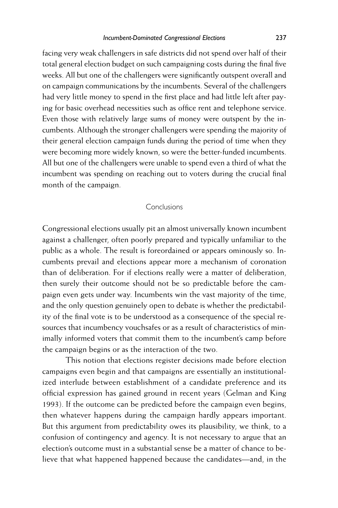facing very weak challengers in safe districts did not spend over half of their total general election budget on such campaigning costs during the final five weeks. All but one of the challengers were significantly outspent overall and on campaign communications by the incumbents. Several of the challengers had very little money to spend in the first place and had little left after paying for basic overhead necessities such as office rent and telephone service. Even those with relatively large sums of money were outspent by the incumbents. Although the stronger challengers were spending the majority of their general election campaign funds during the period of time when they were becoming more widely known, so were the better-funded incumbents. All but one of the challengers were unable to spend even a third of what the incumbent was spending on reaching out to voters during the crucial final month of the campaign.

# Conclusions

Congressional elections usually pit an almost universally known incumbent against a challenger, often poorly prepared and typically unfamiliar to the public as a whole. The result is foreordained or appears ominously so. Incumbents prevail and elections appear more a mechanism of coronation than of deliberation. For if elections really were a matter of deliberation, then surely their outcome should not be so predictable before the campaign even gets under way. Incumbents win the vast majority of the time, and the only question genuinely open to debate is whether the predictability of the final vote is to be understood as a consequence of the special resources that incumbency vouchsafes or as a result of characteristics of minimally informed voters that commit them to the incumbent's camp before the campaign begins or as the interaction of the two.

This notion that elections register decisions made before election campaigns even begin and that campaigns are essentially an institutionalized interlude between establishment of a candidate preference and its official expression has gained ground in recent years (Gelman and King 1993). If the outcome can be predicted before the campaign even begins, then whatever happens during the campaign hardly appears important. But this argument from predictability owes its plausibility, we think, to a confusion of contingency and agency. It is not necessary to argue that an election's outcome must in a substantial sense be a matter of chance to believe that what happened happened because the candidates—and, in the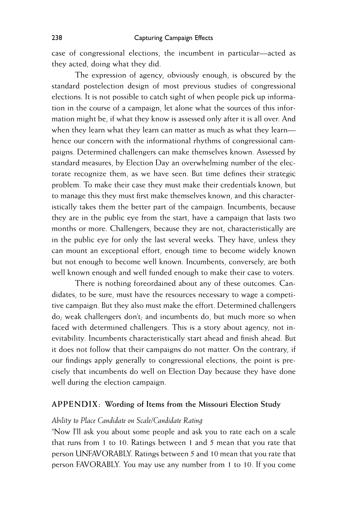case of congressional elections, the incumbent in particular—acted as they acted, doing what they did.

The expression of agency, obviously enough, is obscured by the standard postelection design of most previous studies of congressional elections. It is not possible to catch sight of when people pick up information in the course of a campaign, let alone what the sources of this information might be, if what they know is assessed only after it is all over. And when they learn what they learn can matter as much as what they learn hence our concern with the informational rhythms of congressional campaigns. Determined challengers can make themselves known. Assessed by standard measures, by Election Day an overwhelming number of the electorate recognize them, as we have seen. But time defines their strategic problem. To make their case they must make their credentials known, but to manage this they must first make themselves known, and this characteristically takes them the better part of the campaign. Incumbents, because they are in the public eye from the start, have a campaign that lasts two months or more. Challengers, because they are not, characteristically are in the public eye for only the last several weeks. They have, unless they can mount an exceptional effort, enough time to become widely known but not enough to become well known. Incumbents, conversely, are both well known enough and well funded enough to make their case to voters.

There is nothing foreordained about any of these outcomes. Candidates, to be sure, must have the resources necessary to wage a competitive campaign. But they also must make the effort. Determined challengers do; weak challengers don't; and incumbents do, but much more so when faced with determined challengers. This is a story about agency, not inevitability. Incumbents characteristically start ahead and finish ahead. But it does not follow that their campaigns do not matter. On the contrary, if our findings apply generally to congressional elections, the point is precisely that incumbents do well on Election Day because they have done well during the election campaign.

# **APPENDIX: Wording of Items from the Missouri Election Study**

# *Ability to Place Candidate on Scale/Candidate Rating*

"Now I'll ask you about some people and ask you to rate each on a scale that runs from 1 to 10. Ratings between 1 and 5 mean that you rate that person UNFAVORABLY. Ratings between 5 and 10 mean that you rate that person FAVORABLY. You may use any number from 1 to 10. If you come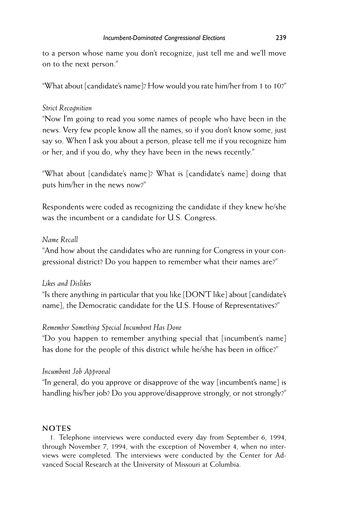to a person whose name you don't recognize, just tell me and we'll move on to the next person."

"What about [candidate's name]? How would you rate him/her from 1 to 10?"

# *Strict Recognition*

"Now I'm going to read you some names of people who have been in the news. Very few people know all the names, so if you don't know some, just say so. When I ask you about a person, please tell me if you recognize him or her, and if you do, why they have been in the news recently."

"What about [candidate's name]? What is [candidate's name] doing that puts him/her in the news now?"

Respondents were coded as recognizing the candidate if they knew he/she was the incumbent or a candidate for U.S. Congress.

## *Name Recall*

"And how about the candidates who are running for Congress in your congressional district? Do you happen to remember what their names are?"

## *Likes and Dislikes*

"Is there anything in particular that you like [DON'T like] about [candidate's name], the Democratic candidate for the U.S. House of Representatives?"

## *Remember Something Special Incumbent Has Done*

"Do you happen to remember anything special that [incumbent's name] has done for the people of this district while he/she has been in office?"

## *Incumbent Job Approval*

"In general, do you approve or disapprove of the way [incumbent's name] is handling his/her job? Do you approve/disapprove strongly, or not strongly?"

## **NOTES**

1. Telephone interviews were conducted every day from September 6, 1994, through November 7, 1994, with the exception of November 4, when no interviews were completed. The interviews were conducted by the Center for Advanced Social Research at the University of Missouri at Columbia.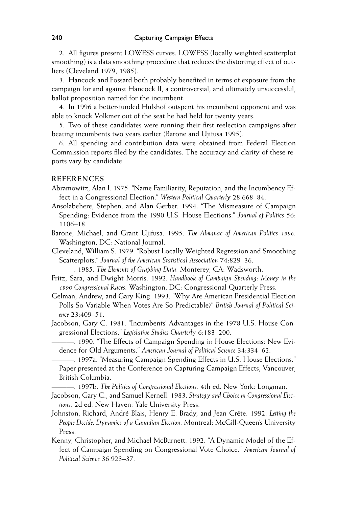2. All figures present LOWESS curves. LOWESS (locally weighted scatterplot smoothing) is a data smoothing procedure that reduces the distorting effect of outliers (Cleveland 1979, 1985).

3. Hancock and Fossard both probably benefited in terms of exposure from the campaign for and against Hancock II, a controversial, and ultimately unsuccessful, ballot proposition named for the incumbent.

4. In 1996 a better-funded Hulshof outspent his incumbent opponent and was able to knock Volkmer out of the seat he had held for twenty years.

5. Two of these candidates were running their first reelection campaigns after beating incumbents two years earlier (Barone and Ujifusa 1995).

6. All spending and contribution data were obtained from Federal Election Commission reports filed by the candidates. The accuracy and clarity of these reports vary by candidate.

#### **REFERENCES**

- Abramowitz, Alan I. 1975. "Name Familiarity, Reputation, and the Incumbency Effect in a Congressional Election." *Western Political Quarterly* 28:668–84.
- Ansolabehere, Stephen, and Alan Gerber. 1994. "The Mismeasure of Campaign Spending: Evidence from the 1990 U.S. House Elections." *Journal of Politics* 56: 1106–18.
- Barone, Michael, and Grant Ujifusa. 1995. *The Almanac of American Politics 1996.* Washington, DC: National Journal.
- Cleveland, William S. 1979. "Robust Locally Weighted Regression and Smoothing Scatterplots." *Journal of the American Statistical Association* 74:829–36.
	- ———. 1985. *The Elements of Graphing Data.* Monterey, CA: Wadsworth.
- Fritz, Sara, and Dwight Morris. 1992*. Handbook of Campaign Spending: Money in the 1990 Congressional Races.* Washington, DC: Congressional Quarterly Press.
- Gelman, Andrew, and Gary King. 1993. "Why Are American Presidential Election Polls So Variable When Votes Are So Predictable?" *British Journal of Political Science* 23:409–51.
- Jacobson, Gary C. 1981. "Incumbents' Advantages in the 1978 U.S. House Congressional Elections." *Legislative Studies Quarterly* 6:183–200.
	- ———. 1990. "The Effects of Campaign Spending in House Elections: New Evidence for Old Arguments." *American Journal of Political Science* 34:334–62.

———. 1997a. "Measuring Campaign Spending Effects in U.S. House Elections."

- Paper presented at the Conference on Capturing Campaign Effects, Vancouver, British Columbia.
- ———. 1997b. *The Politics of Congressional Elections.* 4th ed. New York: Longman.
- Jacobson, Gary C., and Samuel Kernell. 1983. *Strategy and Choice in Congressional Elections.* 2d ed. New Haven: Yale University Press.
- Johnston, Richard, André Blais, Henry E. Brady, and Jean Crête. 1992. *Letting the People Decide: Dynamics of a Canadian Election.* Montreal: McGill-Queen's University Press.
- Kenny, Christopher, and Michael McBurnett. 1992. "A Dynamic Model of the Effect of Campaign Spending on Congressional Vote Choice." *American Journal of Political Science* 36:923–37.